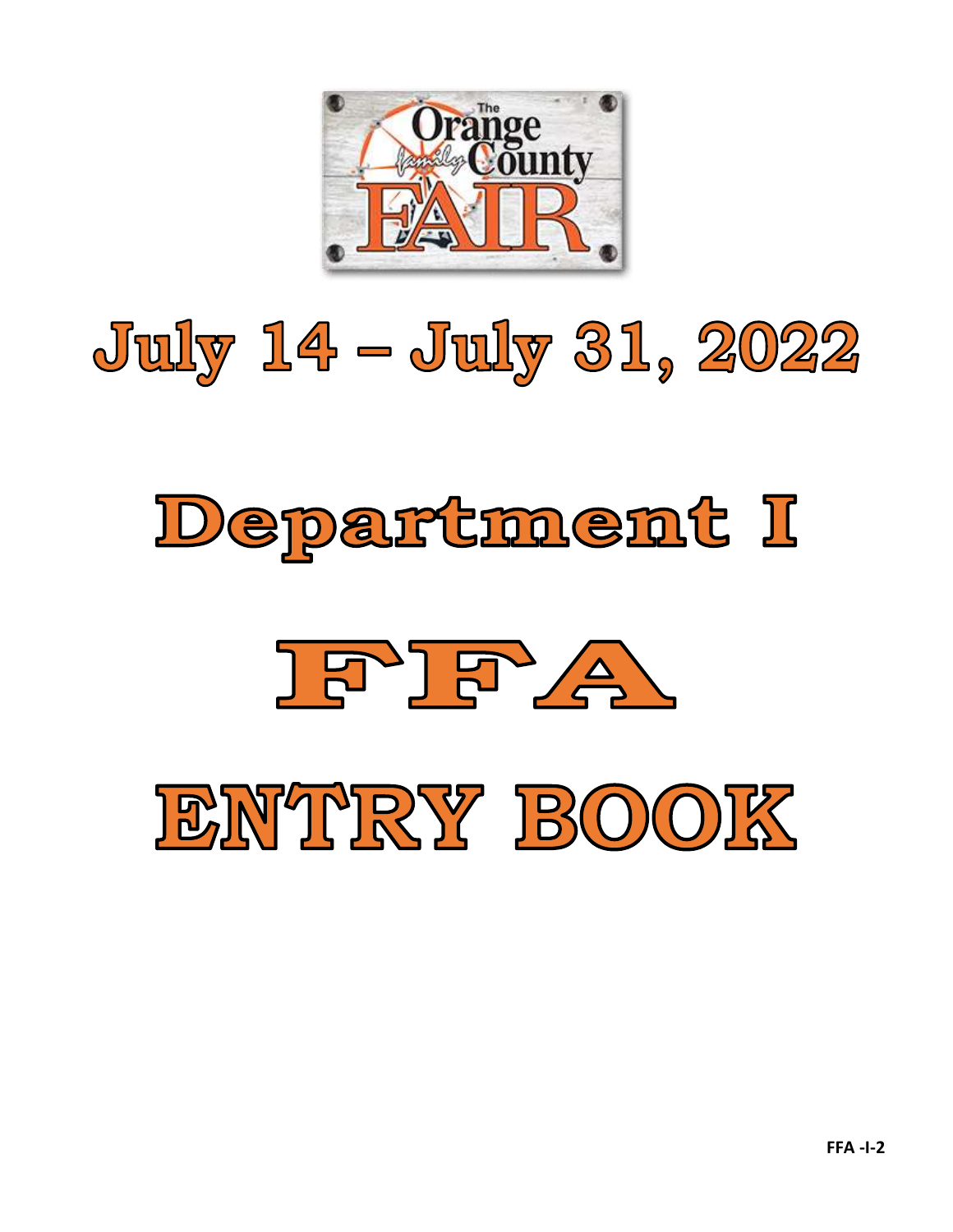

# July 14 - July 31, 2022

## Department I



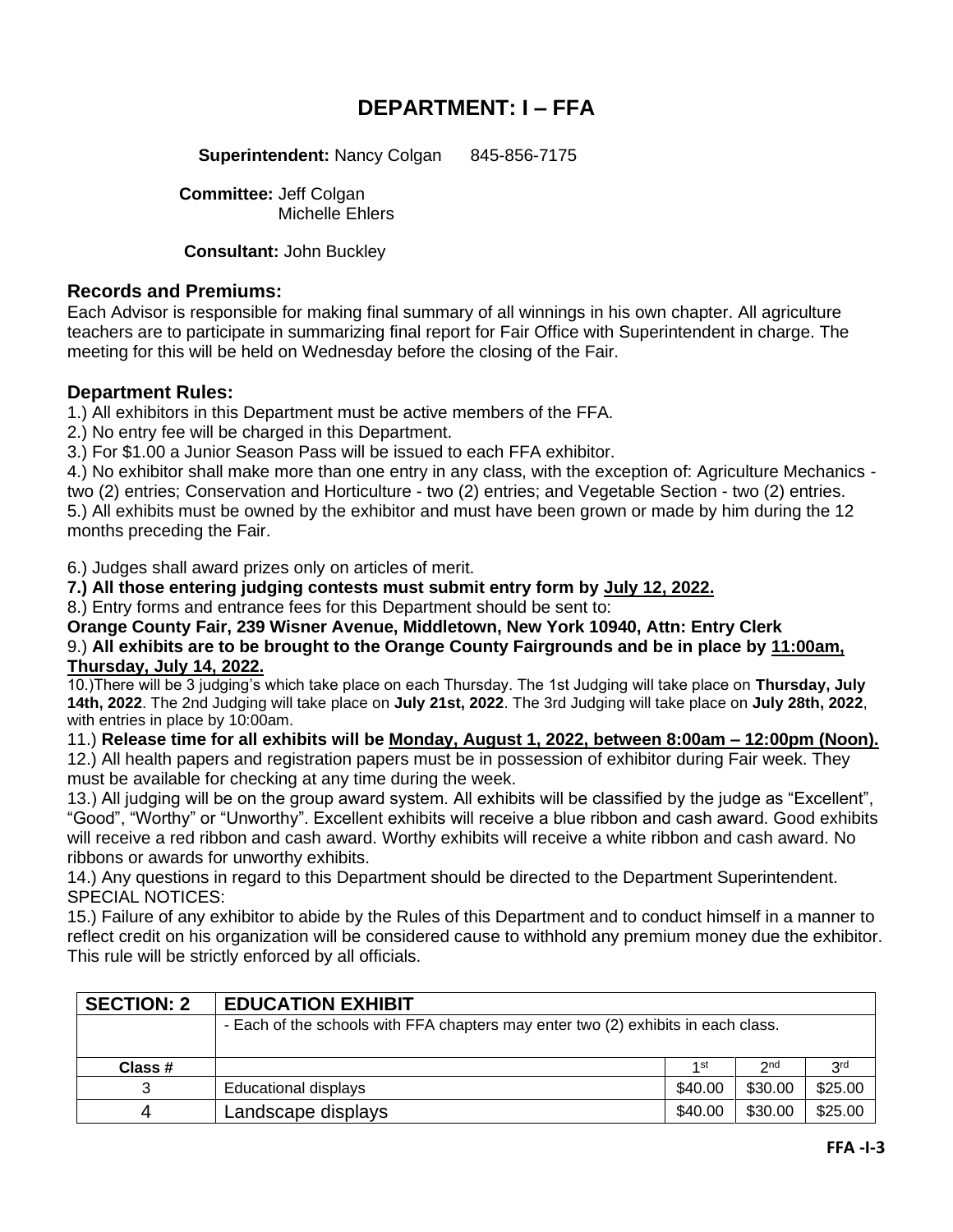### **DEPARTMENT: I – FFA**

**Superintendent: Nancy Colgan 845-856-7175** 

**Committee:** Jeff Colgan Michelle Ehlers

**Consultant:** John Buckley

#### **Records and Premiums:**

Each Advisor is responsible for making final summary of all winnings in his own chapter. All agriculture teachers are to participate in summarizing final report for Fair Office with Superintendent in charge. The meeting for this will be held on Wednesday before the closing of the Fair.

#### **Department Rules:**

1.) All exhibitors in this Department must be active members of the FFA.

2.) No entry fee will be charged in this Department.

3.) For \$1.00 a Junior Season Pass will be issued to each FFA exhibitor.

4.) No exhibitor shall make more than one entry in any class, with the exception of: Agriculture Mechanics two (2) entries; Conservation and Horticulture - two (2) entries; and Vegetable Section - two (2) entries. 5.) All exhibits must be owned by the exhibitor and must have been grown or made by him during the 12 months preceding the Fair.

6.) Judges shall award prizes only on articles of merit.

**7.) All those entering judging contests must submit entry form by July 12, 2022.**

8.) Entry forms and entrance fees for this Department should be sent to:

**Orange County Fair, 239 Wisner Avenue, Middletown, New York 10940, Attn: Entry Clerk**

9.) **All exhibits are to be brought to the Orange County Fairgrounds and be in place by 11:00am, Thursday, July 14, 2022.**

10.)There will be 3 judging's which take place on each Thursday. The 1st Judging will take place on **Thursday, July 14th, 2022**. The 2nd Judging will take place on **July 21st, 2022**. The 3rd Judging will take place on **July 28th, 2022**, with entries in place by 10:00am.

11.) **Release time for all exhibits will be Monday, August 1, 2022, between 8:00am – 12:00pm (Noon).**

12.) All health papers and registration papers must be in possession of exhibitor during Fair week. They must be available for checking at any time during the week.

13.) All judging will be on the group award system. All exhibits will be classified by the judge as "Excellent", "Good", "Worthy" or "Unworthy". Excellent exhibits will receive a blue ribbon and cash award. Good exhibits will receive a red ribbon and cash award. Worthy exhibits will receive a white ribbon and cash award. No ribbons or awards for unworthy exhibits.

14.) Any questions in regard to this Department should be directed to the Department Superintendent. SPECIAL NOTICES:

15.) Failure of any exhibitor to abide by the Rules of this Department and to conduct himself in a manner to reflect credit on his organization will be considered cause to withhold any premium money due the exhibitor. This rule will be strictly enforced by all officials.

| <b>SECTION: 2</b> | <b>EDUCATION EXHIBIT</b>                                                          |                 |                 |                 |  |
|-------------------|-----------------------------------------------------------------------------------|-----------------|-----------------|-----------------|--|
|                   | - Each of the schools with FFA chapters may enter two (2) exhibits in each class. |                 |                 |                 |  |
| Class #           |                                                                                   | 1 <sub>st</sub> | 2 <sub>nd</sub> | 3 <sup>rd</sup> |  |
|                   |                                                                                   |                 |                 |                 |  |
| 3                 | <b>Educational displays</b>                                                       | \$40.00         | \$30.00         | \$25.00         |  |
| 4                 | Landscape displays                                                                | \$40.00         | \$30.00         | \$25.00         |  |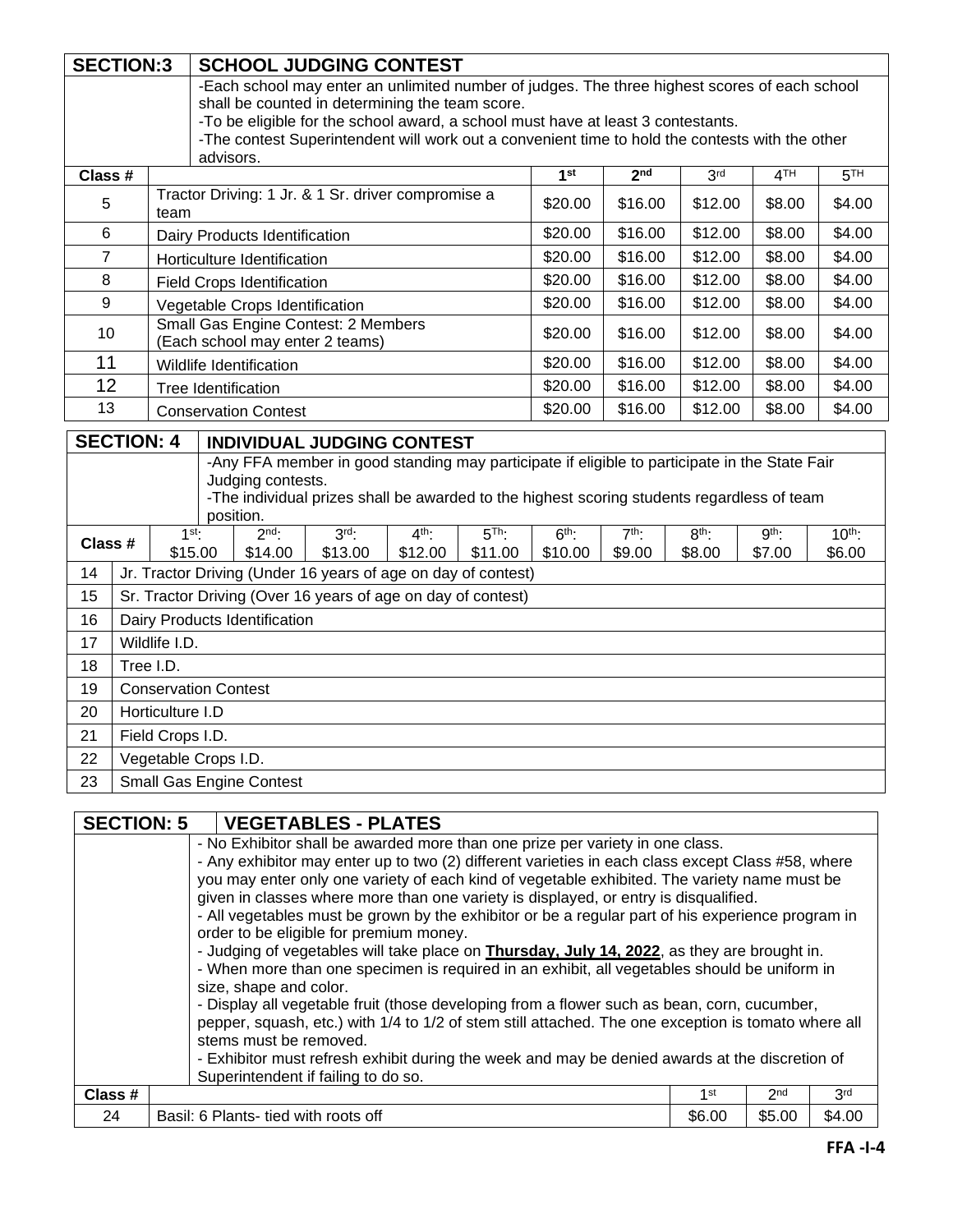|                                                                                                                                     | <b>SECTION:3</b>                                                                                                                                                                                  |                             |           |                                   |                                                                                                     |                    |                    |                    |                   |                   |                 |                    |
|-------------------------------------------------------------------------------------------------------------------------------------|---------------------------------------------------------------------------------------------------------------------------------------------------------------------------------------------------|-----------------------------|-----------|-----------------------------------|-----------------------------------------------------------------------------------------------------|--------------------|--------------------|--------------------|-------------------|-------------------|-----------------|--------------------|
|                                                                                                                                     |                                                                                                                                                                                                   |                             |           |                                   | <b>SCHOOL JUDGING CONTEST</b>                                                                       |                    |                    |                    |                   |                   |                 |                    |
|                                                                                                                                     |                                                                                                                                                                                                   |                             |           |                                   | -Each school may enter an unlimited number of judges. The three highest scores of each school       |                    |                    |                    |                   |                   |                 |                    |
| shall be counted in determining the team score.<br>-To be eligible for the school award, a school must have at least 3 contestants. |                                                                                                                                                                                                   |                             |           |                                   |                                                                                                     |                    |                    |                    |                   |                   |                 |                    |
|                                                                                                                                     |                                                                                                                                                                                                   |                             |           |                                   | -The contest Superintendent will work out a convenient time to hold the contests with the other     |                    |                    |                    |                   |                   |                 |                    |
|                                                                                                                                     |                                                                                                                                                                                                   |                             | advisors. |                                   |                                                                                                     |                    |                    |                    |                   |                   |                 |                    |
| Class #                                                                                                                             |                                                                                                                                                                                                   |                             |           |                                   |                                                                                                     |                    |                    | 1 <sup>st</sup>    | 2 <sub>nd</sub>   | 3 <sup>rd</sup>   | 4 <sup>TH</sup> | 5 <sup>TH</sup>    |
| 5                                                                                                                                   |                                                                                                                                                                                                   | team                        |           |                                   | Tractor Driving: 1 Jr. & 1 Sr. driver compromise a                                                  |                    |                    | \$20.00            | \$16.00           | \$12.00           | \$8.00          | \$4.00             |
| 6                                                                                                                                   |                                                                                                                                                                                                   |                             |           | Dairy Products Identification     |                                                                                                     |                    |                    | \$20.00            | \$16.00           | \$12.00           | \$8.00          | \$4.00             |
| $\overline{7}$                                                                                                                      |                                                                                                                                                                                                   |                             |           | Horticulture Identification       |                                                                                                     |                    |                    | \$20.00            | \$16.00           | \$12.00           | \$8.00          | \$4.00             |
| 8                                                                                                                                   |                                                                                                                                                                                                   |                             |           | <b>Field Crops Identification</b> |                                                                                                     |                    |                    | \$20.00            | \$16.00           | \$12.00           | \$8.00          | \$4.00             |
| 9                                                                                                                                   |                                                                                                                                                                                                   |                             |           | Vegetable Crops Identification    |                                                                                                     |                    |                    | \$20.00            | \$16.00           | \$12.00           | \$8.00          | \$4.00             |
| 10                                                                                                                                  |                                                                                                                                                                                                   |                             |           |                                   | Small Gas Engine Contest: 2 Members<br>(Each school may enter 2 teams)                              |                    |                    | \$20.00            | \$16.00           | \$12.00           | \$8.00          | \$4.00             |
| 11                                                                                                                                  |                                                                                                                                                                                                   |                             |           | Wildlife Identification           |                                                                                                     |                    |                    | \$20.00            | \$16.00           | \$12.00           | \$8.00          | \$4.00             |
| 12                                                                                                                                  |                                                                                                                                                                                                   |                             |           | <b>Tree Identification</b>        |                                                                                                     |                    |                    | \$20.00            | \$16.00           | \$12.00           | \$8.00          | \$4.00             |
| 13                                                                                                                                  |                                                                                                                                                                                                   |                             |           | <b>Conservation Contest</b>       |                                                                                                     |                    |                    | \$20.00            | \$16.00           | \$12.00           | \$8.00          | \$4.00             |
|                                                                                                                                     | <b>SECTION: 4</b>                                                                                                                                                                                 |                             |           |                                   | <b>INDIVIDUAL JUDGING CONTEST</b>                                                                   |                    |                    |                    |                   |                   |                 |                    |
|                                                                                                                                     |                                                                                                                                                                                                   |                             |           |                                   | -Any FFA member in good standing may participate if eligible to participate in the State Fair       |                    |                    |                    |                   |                   |                 |                    |
|                                                                                                                                     |                                                                                                                                                                                                   |                             |           | Judging contests.                 |                                                                                                     |                    |                    |                    |                   |                   |                 |                    |
|                                                                                                                                     |                                                                                                                                                                                                   |                             |           |                                   | -The individual prizes shall be awarded to the highest scoring students regardless of team          |                    |                    |                    |                   |                   |                 |                    |
|                                                                                                                                     |                                                                                                                                                                                                   |                             |           | position.                         |                                                                                                     |                    |                    |                    |                   |                   |                 |                    |
| Class #                                                                                                                             |                                                                                                                                                                                                   | 1 <sup>st</sup>             | \$15.00   | $2nd$ :<br>\$14.00                | $3rd$ :<br>\$13.00                                                                                  | $4th$ :<br>\$12.00 | $5Th$ :<br>\$11.00 | $6th$ :<br>\$10.00 | $7th$ :<br>\$9.00 | $8th$ :<br>\$8.00 | gth:<br>\$7.00  | $10th$ :<br>\$6.00 |
| 14                                                                                                                                  |                                                                                                                                                                                                   |                             |           |                                   | Jr. Tractor Driving (Under 16 years of age on day of contest)                                       |                    |                    |                    |                   |                   |                 |                    |
| 15                                                                                                                                  |                                                                                                                                                                                                   |                             |           |                                   | Sr. Tractor Driving (Over 16 years of age on day of contest)                                        |                    |                    |                    |                   |                   |                 |                    |
| 16                                                                                                                                  |                                                                                                                                                                                                   |                             |           | Dairy Products Identification     |                                                                                                     |                    |                    |                    |                   |                   |                 |                    |
| 17                                                                                                                                  |                                                                                                                                                                                                   | Wildlife I.D.               |           |                                   |                                                                                                     |                    |                    |                    |                   |                   |                 |                    |
| 18                                                                                                                                  |                                                                                                                                                                                                   | Tree I.D.                   |           |                                   |                                                                                                     |                    |                    |                    |                   |                   |                 |                    |
| 19                                                                                                                                  |                                                                                                                                                                                                   | <b>Conservation Contest</b> |           |                                   |                                                                                                     |                    |                    |                    |                   |                   |                 |                    |
| 20                                                                                                                                  |                                                                                                                                                                                                   | Horticulture I.D            |           |                                   |                                                                                                     |                    |                    |                    |                   |                   |                 |                    |
| 21                                                                                                                                  |                                                                                                                                                                                                   | Field Crops I.D.            |           |                                   |                                                                                                     |                    |                    |                    |                   |                   |                 |                    |
| 22                                                                                                                                  |                                                                                                                                                                                                   | Vegetable Crops I.D.        |           |                                   |                                                                                                     |                    |                    |                    |                   |                   |                 |                    |
| 23                                                                                                                                  |                                                                                                                                                                                                   |                             |           | <b>Small Gas Engine Contest</b>   |                                                                                                     |                    |                    |                    |                   |                   |                 |                    |
|                                                                                                                                     |                                                                                                                                                                                                   |                             |           |                                   |                                                                                                     |                    |                    |                    |                   |                   |                 |                    |
|                                                                                                                                     |                                                                                                                                                                                                   | <b>SECTION: 5</b>           |           |                                   | <b>VEGETABLES - PLATES</b>                                                                          |                    |                    |                    |                   |                   |                 |                    |
|                                                                                                                                     |                                                                                                                                                                                                   |                             |           |                                   | - No Exhibitor shall be awarded more than one prize per variety in one class.                       |                    |                    |                    |                   |                   |                 |                    |
|                                                                                                                                     | - Any exhibitor may enter up to two (2) different varieties in each class except Class #58, where<br>you may enter only one variety of each kind of vegetable exhibited. The variety name must be |                             |           |                                   |                                                                                                     |                    |                    |                    |                   |                   |                 |                    |
|                                                                                                                                     | given in classes where more than one variety is displayed, or entry is disqualified.                                                                                                              |                             |           |                                   |                                                                                                     |                    |                    |                    |                   |                   |                 |                    |
|                                                                                                                                     | - All vegetables must be grown by the exhibitor or be a regular part of his experience program in                                                                                                 |                             |           |                                   |                                                                                                     |                    |                    |                    |                   |                   |                 |                    |
|                                                                                                                                     |                                                                                                                                                                                                   |                             |           |                                   | order to be eligible for premium money.                                                             |                    |                    |                    |                   |                   |                 |                    |
|                                                                                                                                     |                                                                                                                                                                                                   |                             |           |                                   | - Judging of vegetables will take place on <b>Thursday, July 14, 2022</b> , as they are brought in. |                    |                    |                    |                   |                   |                 |                    |
|                                                                                                                                     |                                                                                                                                                                                                   |                             |           |                                   | - When more than one specimen is required in an exhibit, all vegetables should be uniform in        |                    |                    |                    |                   |                   |                 |                    |
|                                                                                                                                     | size, shape and color.                                                                                                                                                                            |                             |           |                                   |                                                                                                     |                    |                    |                    |                   |                   |                 |                    |

| - Display all vegetable fruit (those developing from a flower such as bean, corn, cucumber,         |
|-----------------------------------------------------------------------------------------------------|
| pepper, squash, etc.) with 1/4 to 1/2 of stem still attached. The one exception is tomato where all |
| stems must be removed.                                                                              |
| - Exhibitor must refresh exhibit during the week and may be denied awards at the discretion of      |
| Superintendent if failing to do so.                                                                 |

| Close<br><br>ს Idos # |                                                     | 1st    | 2n<br>- | 2 <sub>rd</sub><br>ີ |
|-----------------------|-----------------------------------------------------|--------|---------|----------------------|
| 24                    | off<br>Plants-<br>Basil: F<br>roots<br>with<br>tied | \$6.00 | \$5.00  | \$4.00               |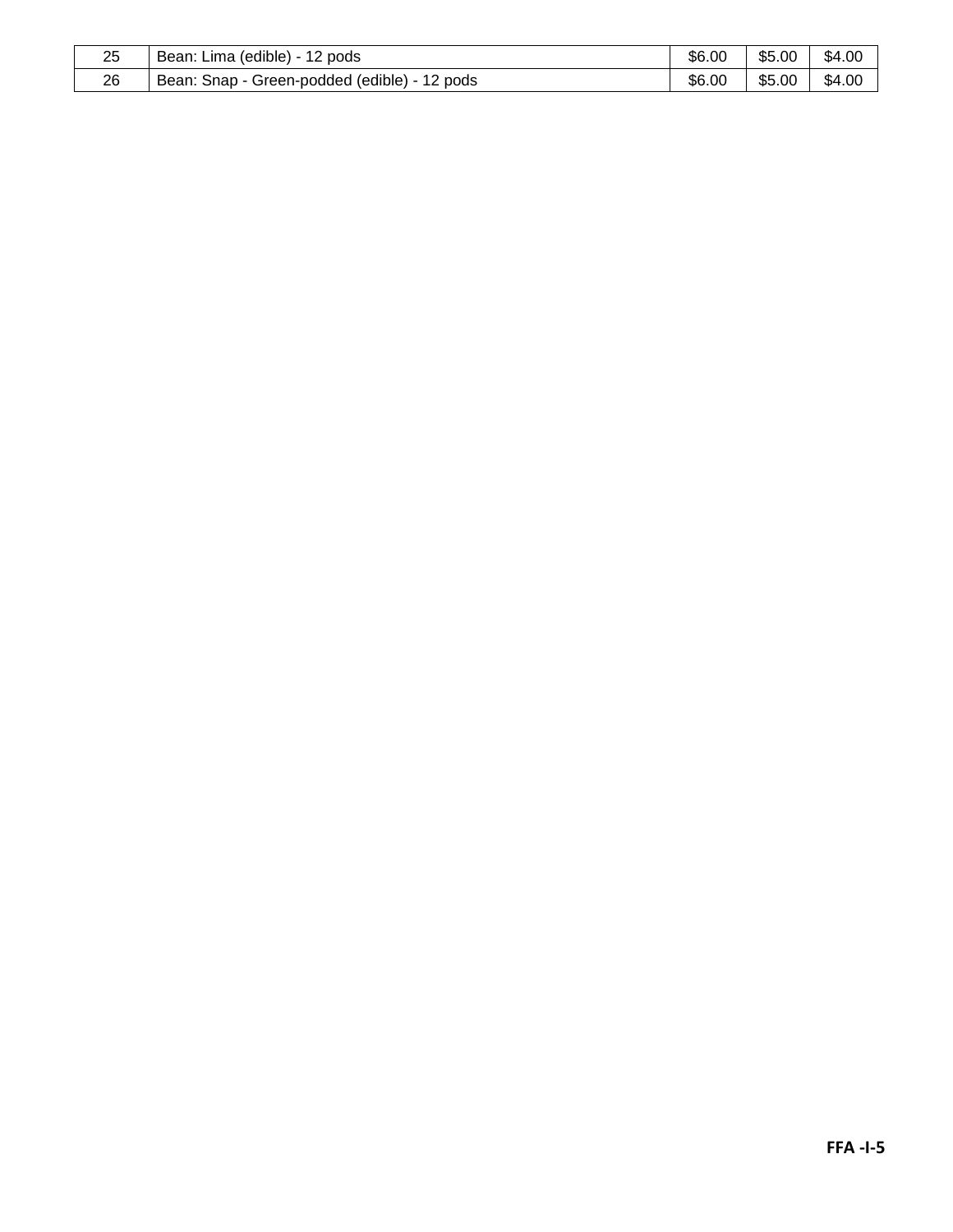| 25 | (edible)<br>$\sim$<br>pods<br>Bean:<br>Lima<br>$\epsilon$ | \$6.00 | \$5.00 | \$4.00 |
|----|-----------------------------------------------------------|--------|--------|--------|
| 26 | Green-podded (edible) -<br>12<br>pods<br>Bean:<br>Snap    | \$6.00 | \$5.00 | \$4.00 |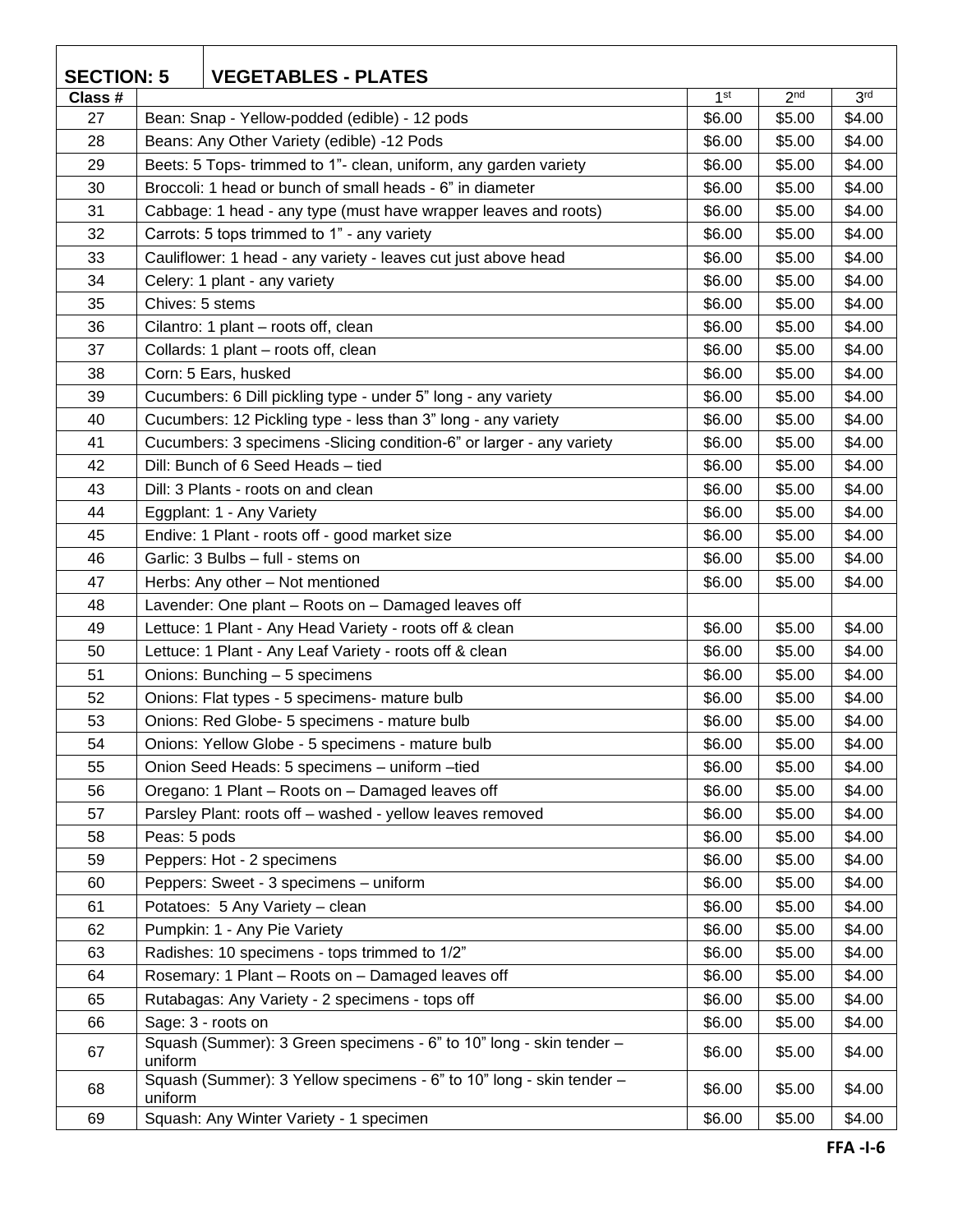| <b>SECTION: 5</b><br><b>VEGETABLES - PLATES</b> |                 |                                                                      |                 |                 |                 |
|-------------------------------------------------|-----------------|----------------------------------------------------------------------|-----------------|-----------------|-----------------|
| Class #                                         |                 |                                                                      | 1 <sup>st</sup> | 2 <sub>nd</sub> | 3 <sup>rd</sup> |
| 27                                              |                 | Bean: Snap - Yellow-podded (edible) - 12 pods                        | \$6.00          | \$5.00          | \$4.00          |
| 28                                              |                 | Beans: Any Other Variety (edible) -12 Pods                           | \$6.00          | \$5.00          | \$4.00          |
| 29                                              |                 | Beets: 5 Tops- trimmed to 1"- clean, uniform, any garden variety     | \$6.00          | \$5.00          | \$4.00          |
| 30                                              |                 | Broccoli: 1 head or bunch of small heads - 6" in diameter            | \$6.00          | \$5.00          | \$4.00          |
| 31                                              |                 | Cabbage: 1 head - any type (must have wrapper leaves and roots)      | \$6.00          | \$5.00          | \$4.00          |
| 32                                              |                 | Carrots: 5 tops trimmed to 1" - any variety                          | \$6.00          | \$5.00          | \$4.00          |
| 33                                              |                 | Cauliflower: 1 head - any variety - leaves cut just above head       | \$6.00          | \$5.00          | \$4.00          |
| 34                                              |                 | Celery: 1 plant - any variety                                        | \$6.00          | \$5.00          | \$4.00          |
| 35                                              | Chives: 5 stems |                                                                      | \$6.00          | \$5.00          | \$4.00          |
| 36                                              |                 | Cilantro: 1 plant - roots off, clean                                 | \$6.00          | \$5.00          | \$4.00          |
| 37                                              |                 | Collards: 1 plant - roots off, clean                                 | \$6.00          | \$5.00          | \$4.00          |
| 38                                              |                 | Corn: 5 Ears, husked                                                 | \$6.00          | \$5.00          | \$4.00          |
| 39                                              |                 | Cucumbers: 6 Dill pickling type - under 5" long - any variety        | \$6.00          | \$5.00          | \$4.00          |
| 40                                              |                 | Cucumbers: 12 Pickling type - less than 3" long - any variety        | \$6.00          | \$5.00          | \$4.00          |
| 41                                              |                 | Cucumbers: 3 specimens -Slicing condition-6" or larger - any variety | \$6.00          | \$5.00          | \$4.00          |
| 42                                              |                 | Dill: Bunch of 6 Seed Heads - tied                                   | \$6.00          | \$5.00          | \$4.00          |
| 43                                              |                 | Dill: 3 Plants - roots on and clean                                  | \$6.00          | \$5.00          | \$4.00          |
| 44                                              |                 | Eggplant: 1 - Any Variety                                            | \$6.00          | \$5.00          | \$4.00          |
| 45                                              |                 | Endive: 1 Plant - roots off - good market size                       | \$6.00          | \$5.00          | \$4.00          |
| 46                                              |                 | Garlic: 3 Bulbs - full - stems on                                    | \$6.00          | \$5.00          | \$4.00          |
| 47                                              |                 | Herbs: Any other - Not mentioned                                     | \$6.00          | \$5.00          | \$4.00          |
| 48                                              |                 | Lavender: One plant - Roots on - Damaged leaves off                  |                 |                 |                 |
| 49                                              |                 | Lettuce: 1 Plant - Any Head Variety - roots off & clean              | \$6.00          | \$5.00          | \$4.00          |
| 50                                              |                 | Lettuce: 1 Plant - Any Leaf Variety - roots off & clean              | \$6.00          | \$5.00          | \$4.00          |
| 51                                              |                 | Onions: Bunching - 5 specimens                                       | \$6.00          | \$5.00          | \$4.00          |
| 52                                              |                 | Onions: Flat types - 5 specimens- mature bulb                        | \$6.00          | \$5.00          | \$4.00          |
| 53                                              |                 | Onions: Red Globe- 5 specimens - mature bulb                         | \$6.00          | \$5.00          | \$4.00          |
| 54                                              |                 | Onions: Yellow Globe - 5 specimens - mature bulb                     | \$6.00          | \$5.00          | \$4.00          |
| 55                                              |                 | Onion Seed Heads: 5 specimens - uniform -tied                        | \$6.00          | \$5.00          | \$4.00          |
| 56                                              |                 | Oregano: 1 Plant - Roots on - Damaged leaves off                     | \$6.00          | \$5.00          | \$4.00          |
| 57                                              |                 | Parsley Plant: roots off - washed - yellow leaves removed            | \$6.00          | \$5.00          | \$4.00          |
| 58                                              | Peas: 5 pods    |                                                                      | \$6.00          | \$5.00          | \$4.00          |
| 59                                              |                 | Peppers: Hot - 2 specimens                                           | \$6.00          | \$5.00          | \$4.00          |
| 60                                              |                 | Peppers: Sweet - 3 specimens - uniform                               | \$6.00          | \$5.00          | \$4.00          |
| 61                                              |                 | Potatoes: 5 Any Variety - clean                                      | \$6.00          | \$5.00          | \$4.00          |
| 62                                              |                 | Pumpkin: 1 - Any Pie Variety                                         | \$6.00          | \$5.00          | \$4.00          |
| 63                                              |                 | Radishes: 10 specimens - tops trimmed to 1/2"                        | \$6.00          | \$5.00          | \$4.00          |
| 64                                              |                 | Rosemary: 1 Plant - Roots on - Damaged leaves off                    | \$6.00          | \$5.00          | \$4.00          |
| 65                                              |                 | Rutabagas: Any Variety - 2 specimens - tops off                      | \$6.00          | \$5.00          | \$4.00          |
| 66                                              |                 | Sage: 3 - roots on                                                   | \$6.00          | \$5.00          | \$4.00          |
| 67                                              | uniform         | Squash (Summer): 3 Green specimens - 6" to 10" long - skin tender -  | \$6.00          | \$5.00          | \$4.00          |
| 68                                              | uniform         | Squash (Summer): 3 Yellow specimens - 6" to 10" long - skin tender - | \$6.00          | \$5.00          | \$4.00          |
| 69                                              |                 | Squash: Any Winter Variety - 1 specimen                              | \$6.00          | \$5.00          | \$4.00          |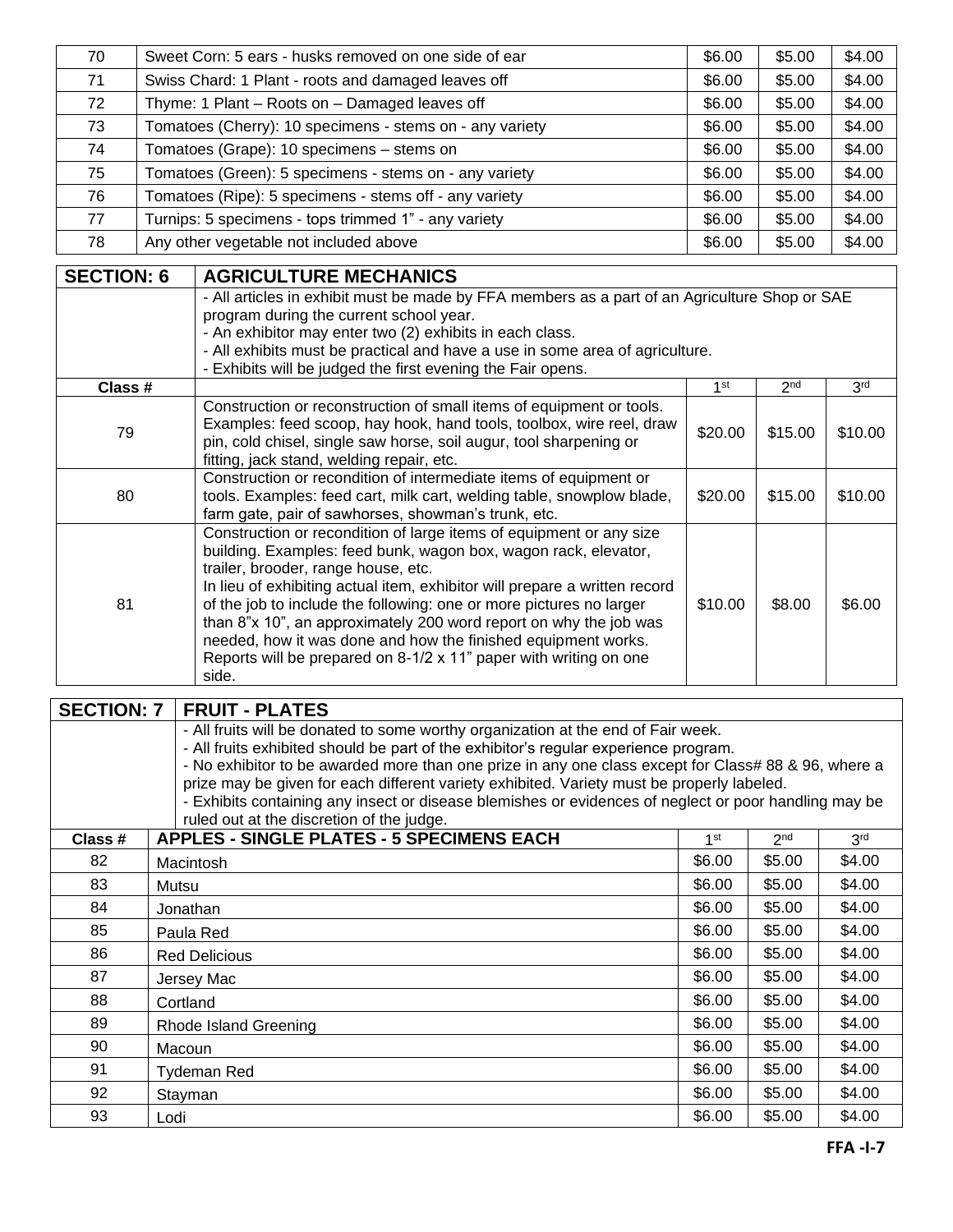| 70 | Sweet Corn: 5 ears - husks removed on one side of ear    | \$6.00 | \$5.00 | \$4.00 |
|----|----------------------------------------------------------|--------|--------|--------|
| 71 | Swiss Chard: 1 Plant - roots and damaged leaves off      | \$6.00 | \$5.00 | \$4.00 |
| 72 | Thyme: 1 Plant - Roots on - Damaged leaves off           | \$6.00 | \$5.00 | \$4.00 |
| 73 | Tomatoes (Cherry): 10 specimens - stems on - any variety | \$6.00 | \$5.00 | \$4.00 |
| 74 | Tomatoes (Grape): 10 specimens - stems on                | \$6.00 | \$5.00 | \$4.00 |
| 75 | Tomatoes (Green): 5 specimens - stems on - any variety   | \$6.00 | \$5.00 | \$4.00 |
| 76 | Tomatoes (Ripe): 5 specimens - stems off - any variety   | \$6.00 | \$5.00 | \$4.00 |
| 77 | Turnips: 5 specimens - tops trimmed 1" - any variety     | \$6.00 | \$5.00 | \$4.00 |
| 78 | Any other vegetable not included above                   | \$6.00 | \$5.00 | \$4.00 |

| <b>SECTION: 6</b> | <b>AGRICULTURE MECHANICS</b>                                                                                                                                                                                                                                                                                                                                                                                                                                                                                                                           |         |                 |                 |  |
|-------------------|--------------------------------------------------------------------------------------------------------------------------------------------------------------------------------------------------------------------------------------------------------------------------------------------------------------------------------------------------------------------------------------------------------------------------------------------------------------------------------------------------------------------------------------------------------|---------|-----------------|-----------------|--|
|                   | - All articles in exhibit must be made by FFA members as a part of an Agriculture Shop or SAE<br>program during the current school year.<br>- An exhibitor may enter two (2) exhibits in each class.<br>- All exhibits must be practical and have a use in some area of agriculture.<br>- Exhibits will be judged the first evening the Fair opens.                                                                                                                                                                                                    |         |                 |                 |  |
| Class #           |                                                                                                                                                                                                                                                                                                                                                                                                                                                                                                                                                        | 1st     | 2 <sub>nd</sub> | 3 <sup>rd</sup> |  |
| 79                | Construction or reconstruction of small items of equipment or tools.<br>Examples: feed scoop, hay hook, hand tools, toolbox, wire reel, draw<br>pin, cold chisel, single saw horse, soil augur, tool sharpening or<br>fitting, jack stand, welding repair, etc.                                                                                                                                                                                                                                                                                        | \$20.00 | \$15.00         | \$10.00         |  |
| 80                | Construction or recondition of intermediate items of equipment or<br>tools. Examples: feed cart, milk cart, welding table, snowplow blade,<br>farm gate, pair of sawhorses, showman's trunk, etc.                                                                                                                                                                                                                                                                                                                                                      | \$20.00 | \$15.00         | \$10.00         |  |
| 81                | Construction or recondition of large items of equipment or any size<br>building. Examples: feed bunk, wagon box, wagon rack, elevator,<br>trailer, brooder, range house, etc.<br>In lieu of exhibiting actual item, exhibitor will prepare a written record<br>of the job to include the following: one or more pictures no larger<br>than 8"x 10", an approximately 200 word report on why the job was<br>needed, how it was done and how the finished equipment works.<br>Reports will be prepared on 8-1/2 x 11" paper with writing on one<br>side. | \$10.00 | \$8.00          | \$6.00          |  |

| <b>SECTION: 7</b> | <b>FRUIT - PLATES</b>                                                                                 |                                                                                   |                 |                 |  |  |  |  |  |
|-------------------|-------------------------------------------------------------------------------------------------------|-----------------------------------------------------------------------------------|-----------------|-----------------|--|--|--|--|--|
|                   |                                                                                                       | - All fruits will be donated to some worthy organization at the end of Fair week. |                 |                 |  |  |  |  |  |
|                   | - All fruits exhibited should be part of the exhibitor's regular experience program.                  |                                                                                   |                 |                 |  |  |  |  |  |
|                   | - No exhibitor to be awarded more than one prize in any one class except for Class# 88 & 96, where a  |                                                                                   |                 |                 |  |  |  |  |  |
|                   | prize may be given for each different variety exhibited. Variety must be properly labeled.            |                                                                                   |                 |                 |  |  |  |  |  |
|                   | - Exhibits containing any insect or disease blemishes or evidences of neglect or poor handling may be |                                                                                   |                 |                 |  |  |  |  |  |
|                   | ruled out at the discretion of the judge.                                                             |                                                                                   |                 |                 |  |  |  |  |  |
| Class #           | <b>APPLES - SINGLE PLATES - 5 SPECIMENS EACH</b>                                                      | 1st                                                                               | 2 <sub>nd</sub> | 3 <sup>rd</sup> |  |  |  |  |  |
| 82                | Macintosh                                                                                             | \$6.00                                                                            | \$5.00          | \$4.00          |  |  |  |  |  |
| 83                | Mutsu                                                                                                 | \$6.00                                                                            | \$5.00          | \$4.00          |  |  |  |  |  |
| 84                | Jonathan                                                                                              |                                                                                   | \$5.00          | \$4.00          |  |  |  |  |  |
| 85                | Paula Red                                                                                             | \$6.00                                                                            | \$5.00          | \$4.00          |  |  |  |  |  |
| 86                | <b>Red Delicious</b>                                                                                  | \$6.00                                                                            | \$5.00          | \$4.00          |  |  |  |  |  |
| 87                | Jersey Mac                                                                                            | \$6.00                                                                            | \$5.00          | \$4.00          |  |  |  |  |  |
| 88                | Cortland                                                                                              | \$6.00                                                                            | \$5.00          | \$4.00          |  |  |  |  |  |
| 89                | Rhode Island Greening                                                                                 | \$6.00                                                                            | \$5.00          | \$4.00          |  |  |  |  |  |
| 90                | Macoun                                                                                                |                                                                                   | \$5.00          | \$4.00          |  |  |  |  |  |
| 91                | Tydeman Red                                                                                           |                                                                                   | \$5.00          | \$4.00          |  |  |  |  |  |
| 92                | Stayman                                                                                               | \$6.00                                                                            | \$5.00          | \$4.00          |  |  |  |  |  |
| 93                | Lodi                                                                                                  | \$6.00                                                                            | \$5.00          | \$4.00          |  |  |  |  |  |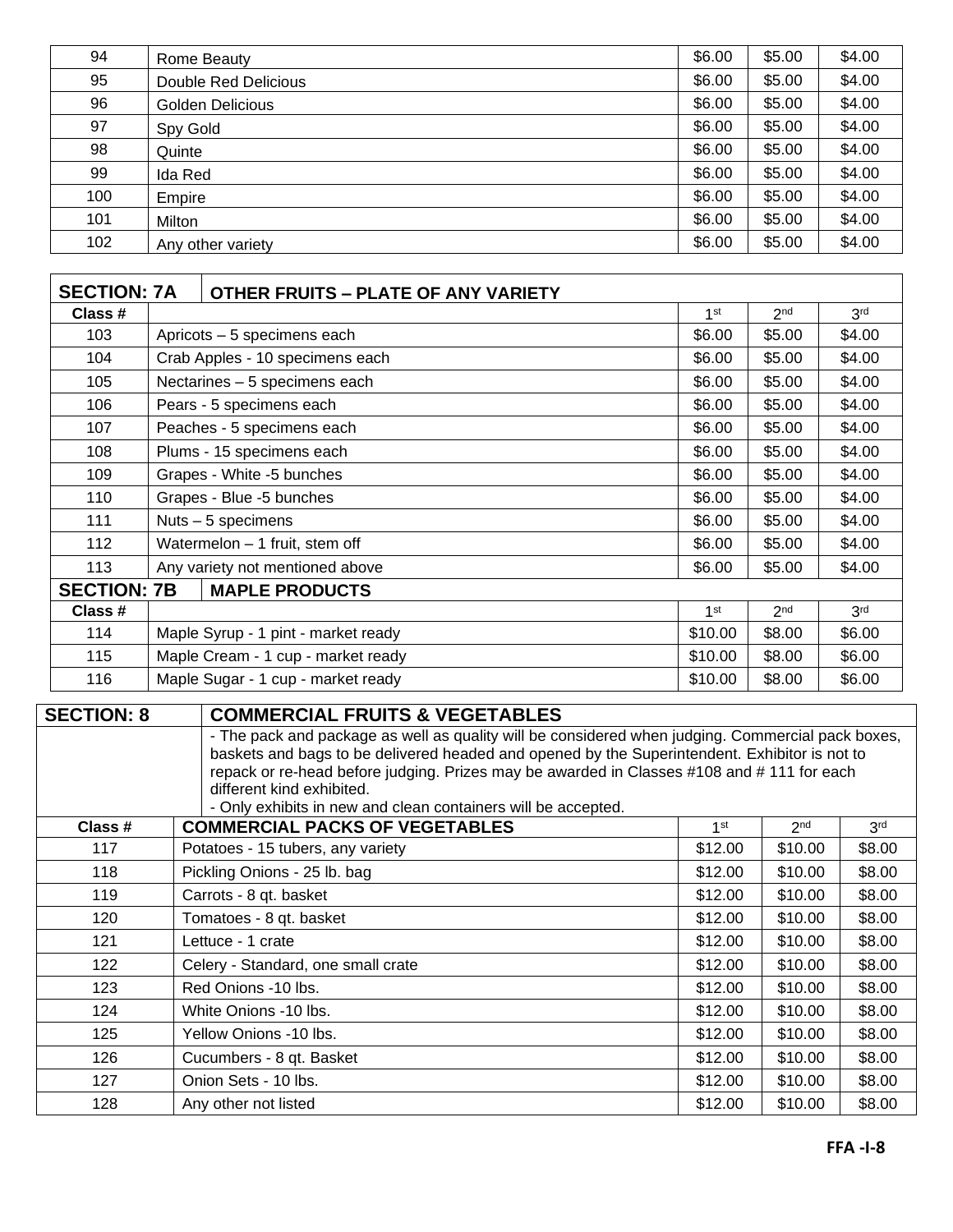| 94  | Rome Beauty             | \$6.00 | \$5.00 | \$4.00 |
|-----|-------------------------|--------|--------|--------|
| 95  | Double Red Delicious    | \$6.00 | \$5.00 | \$4.00 |
| 96  | <b>Golden Delicious</b> | \$6.00 | \$5.00 | \$4.00 |
| 97  | Spy Gold                | \$6.00 | \$5.00 | \$4.00 |
| 98  | Quinte                  | \$6.00 | \$5.00 | \$4.00 |
| 99  | Ida Red                 | \$6.00 | \$5.00 | \$4.00 |
| 100 | Empire                  | \$6.00 | \$5.00 | \$4.00 |
| 101 | Milton                  | \$6.00 | \$5.00 | \$4.00 |
| 102 | Any other variety       | \$6.00 | \$5.00 | \$4.00 |

| <b>SECTION: 7A</b> |                                                         | <b>OTHER FRUITS - PLATE OF ANY VARIETY</b> |                 |                 |                 |
|--------------------|---------------------------------------------------------|--------------------------------------------|-----------------|-----------------|-----------------|
| Class #            |                                                         |                                            | 1 <sup>st</sup> | 2 <sub>nd</sub> | 3 <sup>rd</sup> |
| 103                |                                                         | Apricots - 5 specimens each                | \$6.00          | \$5.00          | \$4.00          |
| 104                |                                                         | Crab Apples - 10 specimens each            | \$6.00          | \$5.00          | \$4.00          |
| 105                |                                                         | Nectarines - 5 specimens each              | \$6.00          | \$5.00          | \$4.00          |
| 106                |                                                         | Pears - 5 specimens each                   | \$6.00          | \$5.00          | \$4.00          |
| 107                |                                                         | Peaches - 5 specimens each                 | \$6.00          | \$5.00          | \$4.00          |
| 108                |                                                         | Plums - 15 specimens each                  | \$6.00          | \$5.00          | \$4.00          |
| 109                |                                                         | Grapes - White -5 bunches                  | \$6.00          | \$5.00          | \$4.00          |
| 110                |                                                         | Grapes - Blue -5 bunches                   | \$6.00          | \$5.00          | \$4.00          |
| 111                |                                                         | Nuts $-5$ specimens                        | \$6.00          | \$5.00          | \$4.00          |
| 112                |                                                         | Watermelon - 1 fruit, stem off             | \$6.00          | \$5.00          | \$4.00          |
| 113                |                                                         | Any variety not mentioned above            | \$6.00          | \$5.00          | \$4.00          |
| <b>SECTION: 7B</b> |                                                         | <b>MAPLE PRODUCTS</b>                      |                 |                 |                 |
| Class #            |                                                         |                                            | 1 <sup>st</sup> | 2 <sub>nd</sub> | 3 <sup>rd</sup> |
| 114                | Maple Syrup - 1 pint - market ready                     |                                            | \$10.00         | \$8.00          | \$6.00          |
| 115                | Maple Cream - 1 cup - market ready                      |                                            |                 | \$8.00          | \$6.00          |
| 116                | Maple Sugar - 1 cup - market ready<br>\$10.00<br>\$8.00 |                                            |                 | \$6.00          |                 |

| <b>SECTION: 8</b> | <b>COMMERCIAL FRUITS &amp; VEGETABLES</b>                                                  |                                                                                                                                                                                                                                                                                                 |                 |                 |  |  |  |
|-------------------|--------------------------------------------------------------------------------------------|-------------------------------------------------------------------------------------------------------------------------------------------------------------------------------------------------------------------------------------------------------------------------------------------------|-----------------|-----------------|--|--|--|
|                   | different kind exhibited.<br>- Only exhibits in new and clean containers will be accepted. | - The pack and package as well as quality will be considered when judging. Commercial pack boxes,<br>baskets and bags to be delivered headed and opened by the Superintendent. Exhibitor is not to<br>repack or re-head before judging. Prizes may be awarded in Classes #108 and #111 for each |                 |                 |  |  |  |
| Class #           | <b>COMMERCIAL PACKS OF VEGETABLES</b>                                                      | $1$ st                                                                                                                                                                                                                                                                                          | 2 <sub>nd</sub> | 3 <sup>rd</sup> |  |  |  |
| 117               | Potatoes - 15 tubers, any variety                                                          | \$12.00                                                                                                                                                                                                                                                                                         | \$10.00         | \$8.00          |  |  |  |
| 118               | Pickling Onions - 25 lb. bag                                                               | \$12.00                                                                                                                                                                                                                                                                                         | \$10.00         | \$8.00          |  |  |  |
| 119               | Carrots - 8 qt. basket                                                                     | \$12.00                                                                                                                                                                                                                                                                                         | \$10.00         | \$8.00          |  |  |  |
| 120               | Tomatoes - 8 qt. basket                                                                    | \$12.00                                                                                                                                                                                                                                                                                         | \$10.00         | \$8.00          |  |  |  |
| 121               | Lettuce - 1 crate                                                                          | \$12.00                                                                                                                                                                                                                                                                                         | \$10.00         | \$8.00          |  |  |  |
| 122               | Celery - Standard, one small crate                                                         | \$12.00                                                                                                                                                                                                                                                                                         | \$10.00         | \$8.00          |  |  |  |
| 123               | Red Onions -10 lbs.                                                                        | \$12.00                                                                                                                                                                                                                                                                                         | \$10.00         | \$8.00          |  |  |  |
| 124               | White Onions -10 lbs.                                                                      | \$12.00                                                                                                                                                                                                                                                                                         | \$10.00         | \$8.00          |  |  |  |
| 125               | Yellow Onions -10 lbs.                                                                     | \$12.00                                                                                                                                                                                                                                                                                         | \$10.00         | \$8.00          |  |  |  |
| 126               | Cucumbers - 8 qt. Basket                                                                   | \$12.00                                                                                                                                                                                                                                                                                         | \$10.00         | \$8.00          |  |  |  |
| 127               | Onion Sets - 10 lbs.                                                                       | \$12.00                                                                                                                                                                                                                                                                                         | \$10.00         | \$8.00          |  |  |  |
| 128               | Any other not listed                                                                       | \$12.00                                                                                                                                                                                                                                                                                         | \$10.00         | \$8.00          |  |  |  |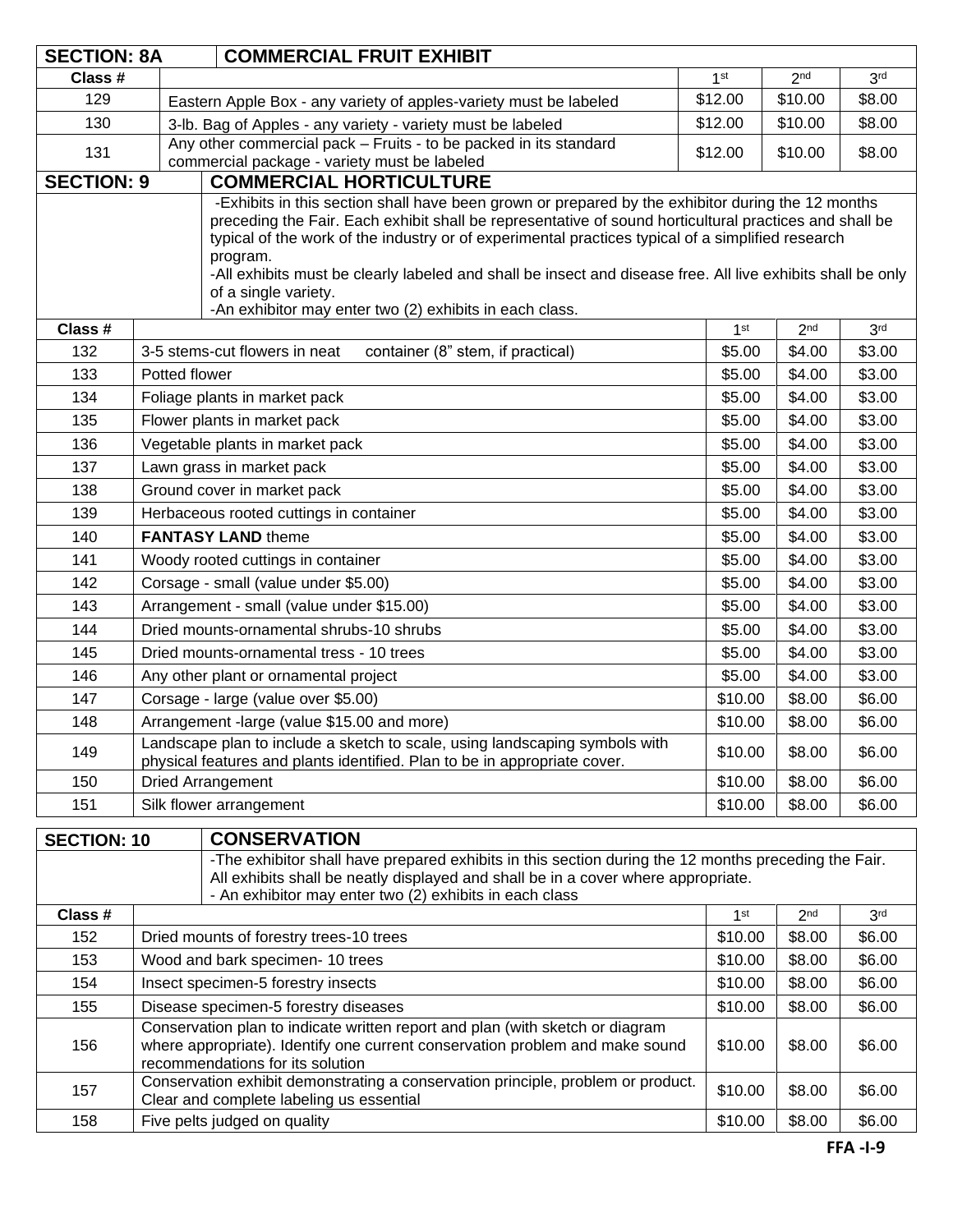| <b>SECTION: 8A</b><br><b>COMMERCIAL FRUIT EXHIBIT</b>   |                                                                                                                                                                                                                        |                                                                                                                                                                                                                                                                                                                                                                                                                                                                                                                                |                 |                 |                 |
|---------------------------------------------------------|------------------------------------------------------------------------------------------------------------------------------------------------------------------------------------------------------------------------|--------------------------------------------------------------------------------------------------------------------------------------------------------------------------------------------------------------------------------------------------------------------------------------------------------------------------------------------------------------------------------------------------------------------------------------------------------------------------------------------------------------------------------|-----------------|-----------------|-----------------|
| Class #                                                 |                                                                                                                                                                                                                        |                                                                                                                                                                                                                                                                                                                                                                                                                                                                                                                                | 1 <sup>st</sup> | 2 <sub>nd</sub> | 3 <sup>rd</sup> |
| 129                                                     | Eastern Apple Box - any variety of apples-variety must be labeled                                                                                                                                                      |                                                                                                                                                                                                                                                                                                                                                                                                                                                                                                                                | \$12.00         | \$10.00         | \$8.00          |
| 130                                                     |                                                                                                                                                                                                                        | \$12.00<br>3-lb. Bag of Apples - any variety - variety must be labeled                                                                                                                                                                                                                                                                                                                                                                                                                                                         |                 | \$10.00         | \$8.00          |
| 131                                                     |                                                                                                                                                                                                                        | Any other commercial pack - Fruits - to be packed in its standard<br>commercial package - variety must be labeled                                                                                                                                                                                                                                                                                                                                                                                                              | \$12.00         | \$10.00         | \$8.00          |
| <b>SECTION: 9</b>                                       |                                                                                                                                                                                                                        | <b>COMMERCIAL HORTICULTURE</b>                                                                                                                                                                                                                                                                                                                                                                                                                                                                                                 |                 |                 |                 |
|                                                         |                                                                                                                                                                                                                        | -Exhibits in this section shall have been grown or prepared by the exhibitor during the 12 months<br>preceding the Fair. Each exhibit shall be representative of sound horticultural practices and shall be<br>typical of the work of the industry or of experimental practices typical of a simplified research<br>program.<br>-All exhibits must be clearly labeled and shall be insect and disease free. All live exhibits shall be only<br>of a single variety.<br>-An exhibitor may enter two (2) exhibits in each class. |                 |                 |                 |
| Class #                                                 |                                                                                                                                                                                                                        |                                                                                                                                                                                                                                                                                                                                                                                                                                                                                                                                | 1 <sup>st</sup> | 2 <sub>nd</sub> | 3 <sup>rd</sup> |
| 132                                                     |                                                                                                                                                                                                                        | container (8" stem, if practical)<br>3-5 stems-cut flowers in neat                                                                                                                                                                                                                                                                                                                                                                                                                                                             | \$5.00          | \$4.00          | \$3.00          |
| 133                                                     | Potted flower                                                                                                                                                                                                          |                                                                                                                                                                                                                                                                                                                                                                                                                                                                                                                                | \$5.00          | \$4.00          | \$3.00          |
| 134                                                     |                                                                                                                                                                                                                        | Foliage plants in market pack                                                                                                                                                                                                                                                                                                                                                                                                                                                                                                  | \$5.00          | \$4.00          | \$3.00          |
| 135                                                     |                                                                                                                                                                                                                        | Flower plants in market pack                                                                                                                                                                                                                                                                                                                                                                                                                                                                                                   | \$5.00          | \$4.00          | \$3.00          |
| 136                                                     |                                                                                                                                                                                                                        | Vegetable plants in market pack                                                                                                                                                                                                                                                                                                                                                                                                                                                                                                | \$5.00          | \$4.00          | \$3.00          |
| 137                                                     |                                                                                                                                                                                                                        | Lawn grass in market pack                                                                                                                                                                                                                                                                                                                                                                                                                                                                                                      | \$5.00          | \$4.00          | \$3.00          |
| 138                                                     |                                                                                                                                                                                                                        | Ground cover in market pack                                                                                                                                                                                                                                                                                                                                                                                                                                                                                                    | \$5.00          | \$4.00          | \$3.00          |
| 139                                                     |                                                                                                                                                                                                                        | Herbaceous rooted cuttings in container                                                                                                                                                                                                                                                                                                                                                                                                                                                                                        | \$5.00          | \$4.00          | \$3.00          |
| 140                                                     |                                                                                                                                                                                                                        | <b>FANTASY LAND theme</b>                                                                                                                                                                                                                                                                                                                                                                                                                                                                                                      | \$5.00          | \$4.00          | \$3.00          |
| 141                                                     |                                                                                                                                                                                                                        | Woody rooted cuttings in container                                                                                                                                                                                                                                                                                                                                                                                                                                                                                             | \$5.00          | \$4.00          | \$3.00          |
| 142                                                     |                                                                                                                                                                                                                        | Corsage - small (value under \$5.00)                                                                                                                                                                                                                                                                                                                                                                                                                                                                                           | \$5.00          | \$4.00          | \$3.00          |
| 143                                                     |                                                                                                                                                                                                                        | Arrangement - small (value under \$15.00)                                                                                                                                                                                                                                                                                                                                                                                                                                                                                      | \$5.00          | \$4.00          | \$3.00          |
| 144                                                     |                                                                                                                                                                                                                        | Dried mounts-ornamental shrubs-10 shrubs                                                                                                                                                                                                                                                                                                                                                                                                                                                                                       | \$5.00          | \$4.00          | \$3.00          |
| 145                                                     |                                                                                                                                                                                                                        | Dried mounts-ornamental tress - 10 trees                                                                                                                                                                                                                                                                                                                                                                                                                                                                                       | \$5.00          | \$4.00          | \$3.00          |
| 146                                                     |                                                                                                                                                                                                                        | Any other plant or ornamental project                                                                                                                                                                                                                                                                                                                                                                                                                                                                                          | \$5.00          | \$4.00          | \$3.00          |
| 147                                                     |                                                                                                                                                                                                                        | Corsage - large (value over \$5.00)                                                                                                                                                                                                                                                                                                                                                                                                                                                                                            | \$10.00         | \$8.00          | \$6.00          |
| 148                                                     |                                                                                                                                                                                                                        | Arrangement -large (value \$15.00 and more)                                                                                                                                                                                                                                                                                                                                                                                                                                                                                    | \$10.00         | \$8.00          | \$6.00          |
| 149                                                     | Landscape plan to include a sketch to scale, using landscaping symbols with<br>physical features and plants identified. Plan to be in appropriate cover.                                                               |                                                                                                                                                                                                                                                                                                                                                                                                                                                                                                                                | \$10.00         | \$8.00          | \$6.00          |
| 150                                                     | Dried Arrangement                                                                                                                                                                                                      |                                                                                                                                                                                                                                                                                                                                                                                                                                                                                                                                | \$10.00         | \$8.00          | \$6.00          |
| 151                                                     | Silk flower arrangement                                                                                                                                                                                                |                                                                                                                                                                                                                                                                                                                                                                                                                                                                                                                                | \$10.00         | \$8.00          | \$6.00          |
| <b>SECTION: 10</b>                                      |                                                                                                                                                                                                                        | <b>CONSERVATION</b>                                                                                                                                                                                                                                                                                                                                                                                                                                                                                                            |                 |                 |                 |
| - An exhibitor may enter two (2) exhibits in each class |                                                                                                                                                                                                                        | -The exhibitor shall have prepared exhibits in this section during the 12 months preceding the Fair.<br>All exhibits shall be neatly displayed and shall be in a cover where appropriate.                                                                                                                                                                                                                                                                                                                                      |                 |                 |                 |
| Class #                                                 |                                                                                                                                                                                                                        |                                                                                                                                                                                                                                                                                                                                                                                                                                                                                                                                | 1 <sup>st</sup> | 2 <sub>nd</sub> | 3 <sup>rd</sup> |
| 152                                                     | Dried mounts of forestry trees-10 trees                                                                                                                                                                                |                                                                                                                                                                                                                                                                                                                                                                                                                                                                                                                                | \$10.00         | \$8.00          | \$6.00          |
| 153                                                     | Wood and bark specimen- 10 trees                                                                                                                                                                                       |                                                                                                                                                                                                                                                                                                                                                                                                                                                                                                                                | \$10.00         | \$8.00          | \$6.00          |
| 154                                                     | Insect specimen-5 forestry insects                                                                                                                                                                                     |                                                                                                                                                                                                                                                                                                                                                                                                                                                                                                                                | \$10.00         | \$8.00          | \$6.00          |
| 155                                                     | Disease specimen-5 forestry diseases                                                                                                                                                                                   |                                                                                                                                                                                                                                                                                                                                                                                                                                                                                                                                | \$10.00         | \$8.00          | \$6.00          |
| 156                                                     | Conservation plan to indicate written report and plan (with sketch or diagram<br>where appropriate). Identify one current conservation problem and make sound<br>\$10.00<br>\$8.00<br>recommendations for its solution |                                                                                                                                                                                                                                                                                                                                                                                                                                                                                                                                |                 | \$6.00          |                 |
| 157                                                     | Conservation exhibit demonstrating a conservation principle, problem or product.<br>\$10.00<br>\$8.00<br>Clear and complete labeling us essential                                                                      |                                                                                                                                                                                                                                                                                                                                                                                                                                                                                                                                |                 | \$6.00          |                 |
| 158                                                     | Five pelts judged on quality                                                                                                                                                                                           |                                                                                                                                                                                                                                                                                                                                                                                                                                                                                                                                | \$10.00         | \$8.00          | \$6.00          |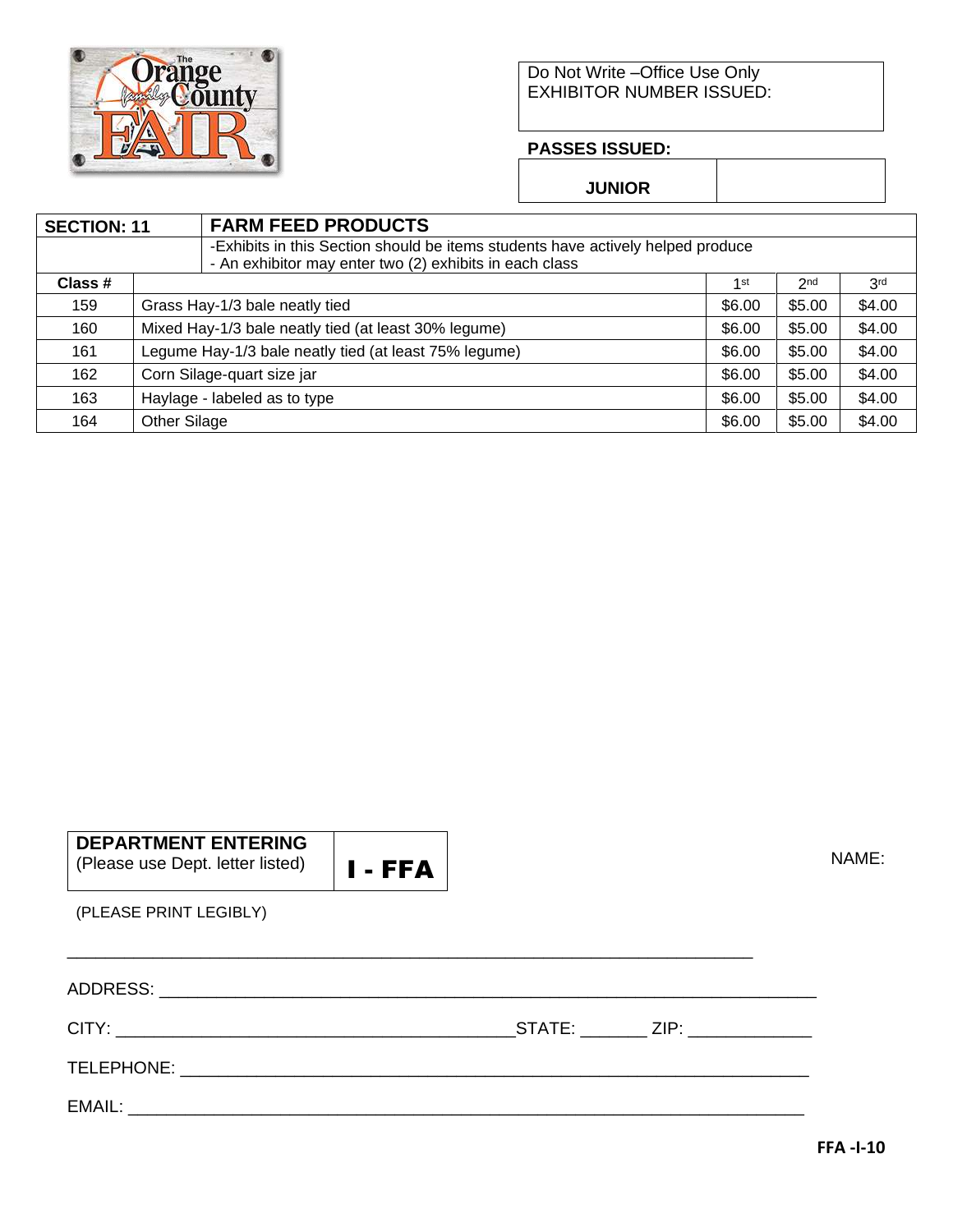

#### Do Not Write –Office Use Only EXHIBITOR NUMBER ISSUED:

#### **PASSES ISSUED:**

**JUNIOR**

| <b>SECTION: 11</b> |                                                       | <b>FARM FEED PRODUCTS</b>                                                       |        |                 |                 |  |
|--------------------|-------------------------------------------------------|---------------------------------------------------------------------------------|--------|-----------------|-----------------|--|
|                    |                                                       | -Exhibits in this Section should be items students have actively helped produce |        |                 |                 |  |
|                    |                                                       | - An exhibitor may enter two (2) exhibits in each class                         |        |                 |                 |  |
| Class #            |                                                       |                                                                                 | 1st    | 2 <sub>nd</sub> | 3 <sup>rd</sup> |  |
| 159                | Grass Hay-1/3 bale neatly tied                        |                                                                                 | \$6.00 | \$5.00          | \$4.00          |  |
| 160                | Mixed Hay-1/3 bale neatly tied (at least 30% legume)  |                                                                                 | \$6.00 | \$5.00          | \$4.00          |  |
| 161                | Legume Hay-1/3 bale neatly tied (at least 75% legume) |                                                                                 | \$6.00 | \$5.00          | \$4.00          |  |
| 162                | Corn Silage-quart size jar<br>\$6.00                  |                                                                                 | \$5.00 | \$4.00          |                 |  |
| 163                | Haylage - labeled as to type<br>\$6.00                |                                                                                 |        | \$5.00          | \$4.00          |  |
| 164                | Other Silage                                          |                                                                                 | \$6.00 | \$5.00          | \$4.00          |  |

| <b>DEPARTMENT ENTERING</b>       |                                                                                           |
|----------------------------------|-------------------------------------------------------------------------------------------|
| (Please use Dept. letter listed) | $\blacksquare$ $\blacksquare$ $\blacksquare$ $\blacksquare$ $\blacksquare$ $\blacksquare$ |

NAME:

(PLEASE PRINT LEGIBLY)

|  | STATE: ZIP: ZIP: |  |
|--|------------------|--|
|  |                  |  |
|  |                  |  |